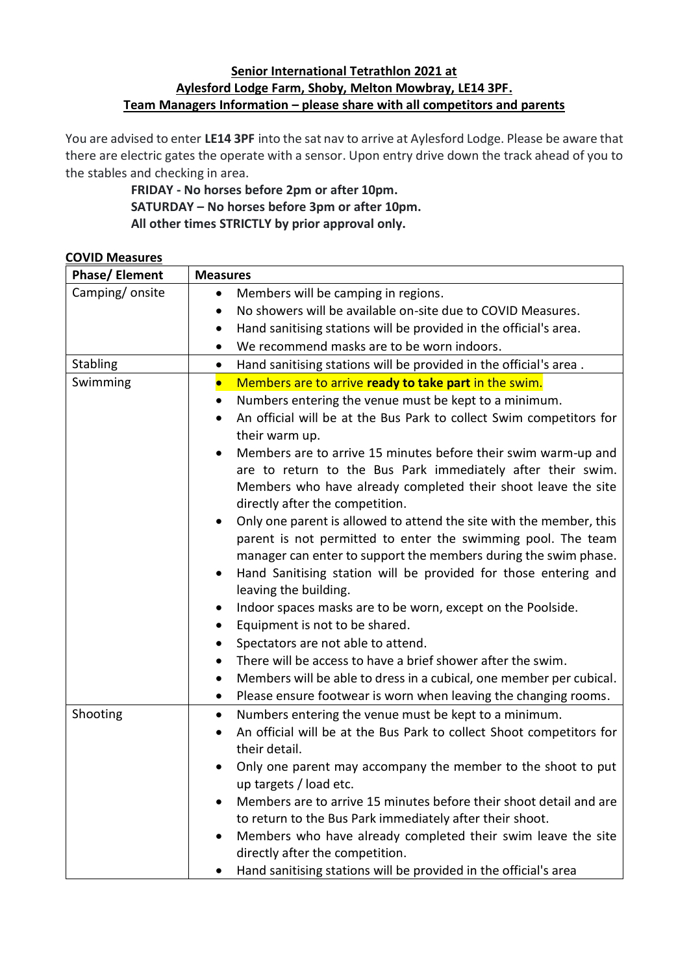## **Senior International Tetrathlon 2021 at Aylesford Lodge Farm, Shoby, Melton Mowbray, LE14 3PF. Team Managers Information – please share with all competitors and parents**

You are advised to enter **LE14 3PF** into the sat nav to arrive at Aylesford Lodge. Please be aware that there are electric gates the operate with a sensor. Upon entry drive down the track ahead of you to the stables and checking in area.

> **FRIDAY - No horses before 2pm or after 10pm. SATURDAY – No horses before 3pm or after 10pm. All other times STRICTLY by prior approval only.**

| CO VID IVICASUI CS<br><b>Phase/ Element</b> | <b>Measures</b>                                                                                    |
|---------------------------------------------|----------------------------------------------------------------------------------------------------|
| Camping/onsite                              | Members will be camping in regions.<br>$\bullet$                                                   |
|                                             | No showers will be available on-site due to COVID Measures.<br>٠                                   |
|                                             | Hand sanitising stations will be provided in the official's area.<br>٠                             |
|                                             | We recommend masks are to be worn indoors.<br>٠                                                    |
| <b>Stabling</b>                             | Hand sanitising stations will be provided in the official's area.<br>$\bullet$                     |
| Swimming                                    | Members are to arrive ready to take part in the swim.<br>$\bullet$                                 |
|                                             | Numbers entering the venue must be kept to a minimum.<br>$\bullet$                                 |
|                                             | An official will be at the Bus Park to collect Swim competitors for<br>$\bullet$<br>their warm up. |
|                                             | Members are to arrive 15 minutes before their swim warm-up and                                     |
|                                             | are to return to the Bus Park immediately after their swim.                                        |
|                                             | Members who have already completed their shoot leave the site                                      |
|                                             | directly after the competition.                                                                    |
|                                             | Only one parent is allowed to attend the site with the member, this<br>$\bullet$                   |
|                                             | parent is not permitted to enter the swimming pool. The team                                       |
|                                             | manager can enter to support the members during the swim phase.                                    |
|                                             | Hand Sanitising station will be provided for those entering and<br>٠<br>leaving the building.      |
|                                             | Indoor spaces masks are to be worn, except on the Poolside.<br>٠                                   |
|                                             | Equipment is not to be shared.<br>$\bullet$                                                        |
|                                             | Spectators are not able to attend.<br>$\bullet$                                                    |
|                                             | There will be access to have a brief shower after the swim.                                        |
|                                             | Members will be able to dress in a cubical, one member per cubical.<br>$\bullet$                   |
|                                             | Please ensure footwear is worn when leaving the changing rooms.<br>$\bullet$                       |
| Shooting                                    | Numbers entering the venue must be kept to a minimum.<br>$\bullet$                                 |
|                                             | An official will be at the Bus Park to collect Shoot competitors for<br>$\bullet$                  |
|                                             | their detail.                                                                                      |
|                                             | Only one parent may accompany the member to the shoot to put<br>up targets / load etc.             |
|                                             | Members are to arrive 15 minutes before their shoot detail and are                                 |
|                                             | to return to the Bus Park immediately after their shoot.                                           |
|                                             | Members who have already completed their swim leave the site                                       |
|                                             | directly after the competition.                                                                    |
|                                             | Hand sanitising stations will be provided in the official's area                                   |

#### **COVID Measures**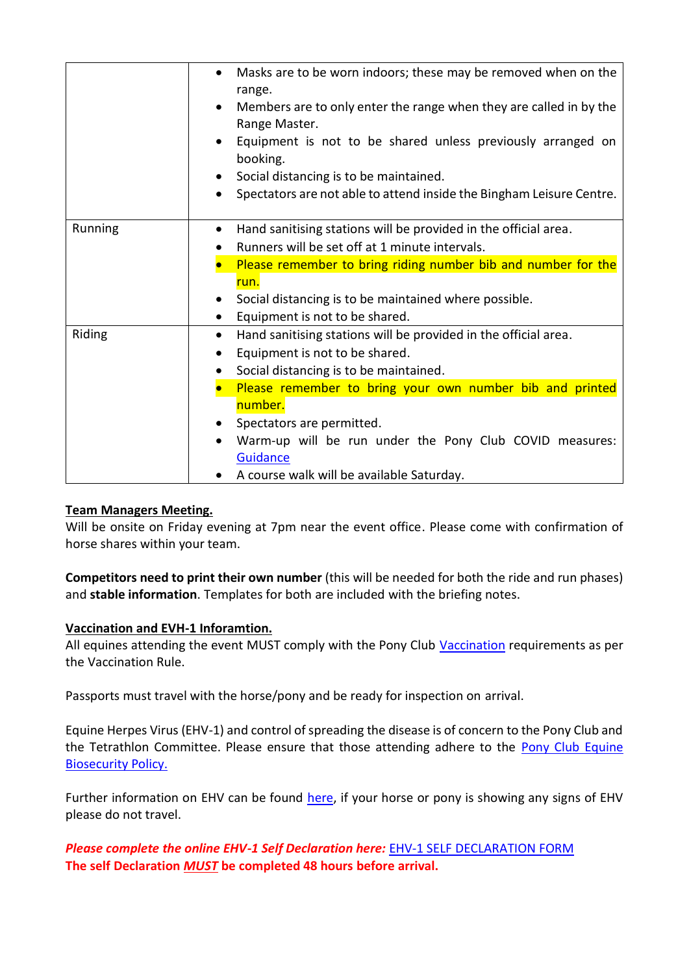|         | Masks are to be worn indoors; these may be removed when on the<br>$\bullet$<br>range.<br>Members are to only enter the range when they are called in by the<br>Range Master.<br>Equipment is not to be shared unless previously arranged on<br>booking.<br>Social distancing is to be maintained.<br>Spectators are not able to attend inside the Bingham Leisure Centre.        |
|---------|----------------------------------------------------------------------------------------------------------------------------------------------------------------------------------------------------------------------------------------------------------------------------------------------------------------------------------------------------------------------------------|
| Running | Hand sanitising stations will be provided in the official area.<br>$\bullet$<br>Runners will be set off at 1 minute intervals.<br>Please remember to bring riding number bib and number for the<br>run.<br>Social distancing is to be maintained where possible.<br>Equipment is not to be shared.                                                                               |
| Riding  | Hand sanitising stations will be provided in the official area.<br>$\bullet$<br>Equipment is not to be shared.<br>Social distancing is to be maintained.<br>Please remember to bring your own number bib and printed<br>number.<br>Spectators are permitted.<br>Warm-up will be run under the Pony Club COVID measures:<br>Guidance<br>A course walk will be available Saturday. |

## **Team Managers Meeting.**

Will be onsite on Friday evening at 7pm near the event office. Please come with confirmation of horse shares within your team.

**Competitors need to print their own number** (this will be needed for both the ride and run phases) and **stable information**. Templates for both are included with the briefing notes.

## **Vaccination and EVH-1 Inforamtion.**

All equines attending the event MUST comply with the Pony Club [Vaccination](https://pcuk.org/officials/rulebooks/) requirements as per the Vaccination Rule.

Passports must travel with the horse/pony and be ready for inspection on arrival.

Equine Herpes Virus (EHV-1) and control of spreading the disease is of concern to the Pony Club and the Tetrathlon Committee. Please ensure that those attending adhere to the Pony Club Equine [Biosecurity Policy.](https://pcuk.org/media/piudquyn/biosecurity-policy-2020-v1-1.pdf)

Further information on EHV can be found [here,](https://www.britishequestrian.org.uk/equine/health-biosecurity/diseases-to-know-about/equine-herpes-virus) if your horse or pony is showing any signs of EHV please do not travel.

*Please complete the online EHV-1 Self Declaration here:* [EHV-1 SELF DECLARATION FORM](https://docs.google.com/forms/d/e/1FAIpQLScy5RwnpAAuxvEKGBF6riyus_O3JWHmcRmyAOSmjtLSAHNT8Q/viewform) **The self Declaration** *MUST* **be completed 48 hours before arrival.**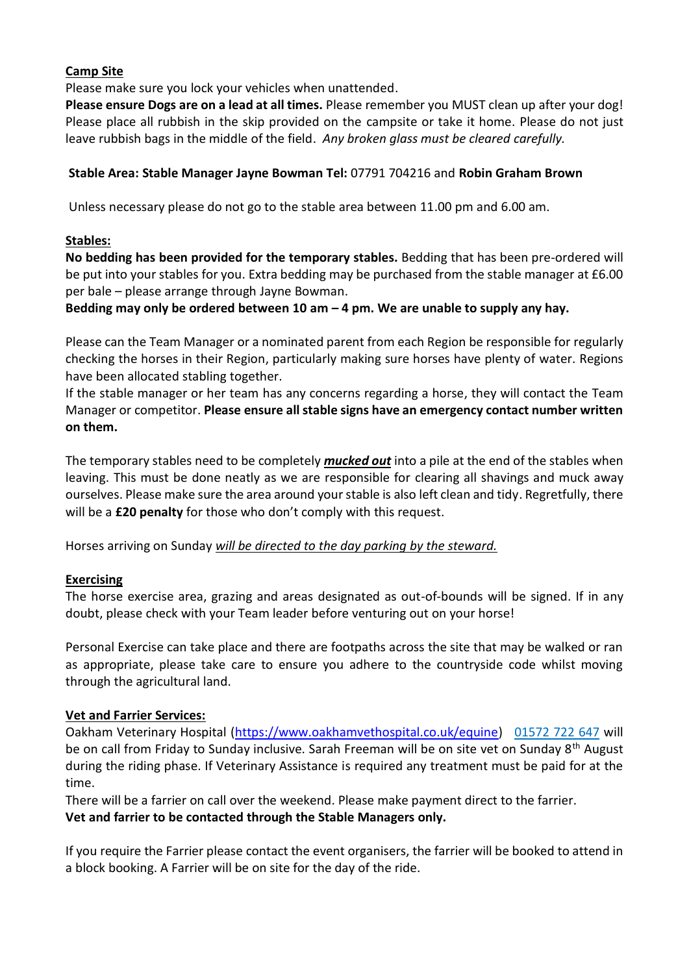### **Camp Site**

Please make sure you lock your vehicles when unattended.

**Please ensure Dogs are on a lead at all times.** Please remember you MUST clean up after your dog! Please place all rubbish in the skip provided on the campsite or take it home. Please do not just leave rubbish bags in the middle of the field. *Any broken glass must be cleared carefully.*

#### **Stable Area: Stable Manager Jayne Bowman Tel:** 07791 704216 and **Robin Graham Brown**

Unless necessary please do not go to the stable area between 11.00 pm and 6.00 am.

#### **Stables:**

**No bedding has been provided for the temporary stables.** Bedding that has been pre-ordered will be put into your stables for you. Extra bedding may be purchased from the stable manager at £6.00 per bale – please arrange through Jayne Bowman.

#### **Bedding may only be ordered between 10 am – 4 pm. We are unable to supply any hay.**

Please can the Team Manager or a nominated parent from each Region be responsible for regularly checking the horses in their Region, particularly making sure horses have plenty of water. Regions have been allocated stabling together.

If the stable manager or her team has any concerns regarding a horse, they will contact the Team Manager or competitor. **Please ensure all stable signs have an emergency contact number written on them.**

The temporary stables need to be completely *mucked out* into a pile at the end of the stables when leaving. This must be done neatly as we are responsible for clearing all shavings and muck away ourselves. Please make sure the area around your stable is also left clean and tidy. Regretfully, there will be a **£20 penalty** for those who don't comply with this request.

Horses arriving on Sunday *will be directed to the day parking by the steward.*

## **Exercising**

The horse exercise area, grazing and areas designated as out-of-bounds will be signed. If in any doubt, please check with your Team leader before venturing out on your horse!

Personal Exercise can take place and there are footpaths across the site that may be walked or ran as appropriate, please take care to ensure you adhere to the countryside code whilst moving through the agricultural land.

#### **Vet and Farrier Services:**

Oakham Veterinary Hospital [\(https://www.oakhamvethospital.co.uk/equine\)](https://www.oakhamvethospital.co.uk/equine) 01572 722 647 will be on call from Friday to Sunday inclusive. Sarah Freeman will be on site vet on Sunday 8<sup>th</sup> August during the riding phase. If Veterinary Assistance is required any treatment must be paid for at the time.

There will be a farrier on call over the weekend. Please make payment direct to the farrier. **Vet and farrier to be contacted through the Stable Managers only.**

If you require the Farrier please contact the event organisers, the farrier will be booked to attend in a block booking. A Farrier will be on site for the day of the ride.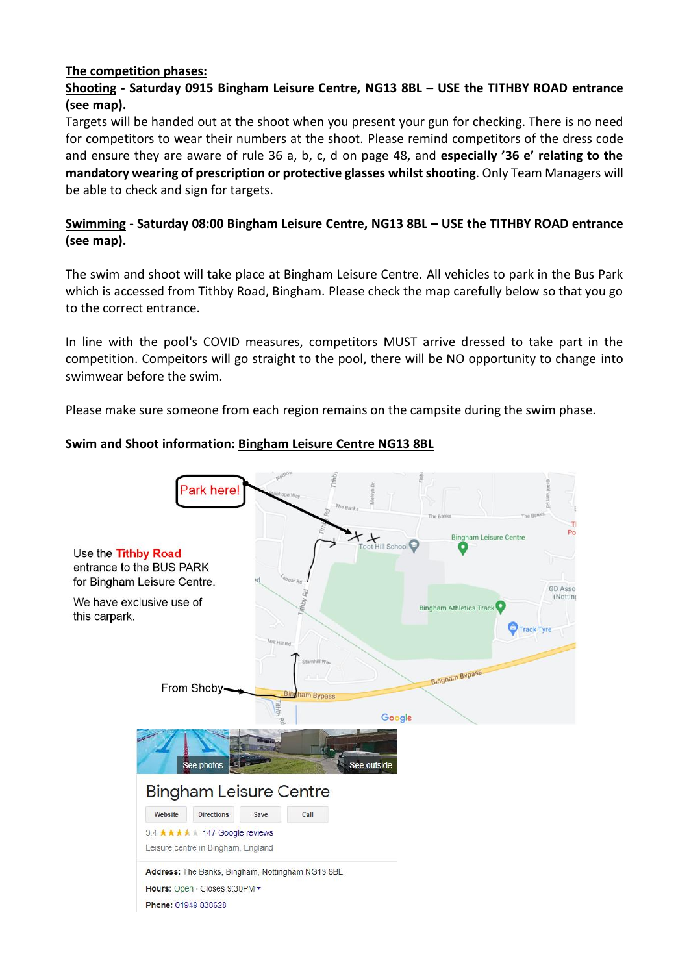#### **The competition phases:**

## **Shooting - Saturday 0915 Bingham Leisure Centre, NG13 8BL – USE the TITHBY ROAD entrance (see map).**

Targets will be handed out at the shoot when you present your gun for checking. There is no need for competitors to wear their numbers at the shoot. Please remind competitors of the dress code and ensure they are aware of rule 36 a, b, c, d on page 48, and **especially '36 e' relating to the mandatory wearing of prescription or protective glasses whilst shooting**. Only Team Managers will be able to check and sign for targets.

## **Swimming - Saturday 08:00 Bingham Leisure Centre, NG13 8BL – USE the TITHBY ROAD entrance (see map).**

The swim and shoot will take place at Bingham Leisure Centre. All vehicles to park in the Bus Park which is accessed from Tithby Road, Bingham. Please check the map carefully below so that you go to the correct entrance.

In line with the pool's COVID measures, competitors MUST arrive dressed to take part in the competition. Compeitors will go straight to the pool, there will be NO opportunity to change into swimwear before the swim.

Please make sure someone from each region remains on the campsite during the swim phase.

## **Swim and Shoot information: Bingham Leisure Centre NG13 8BL**

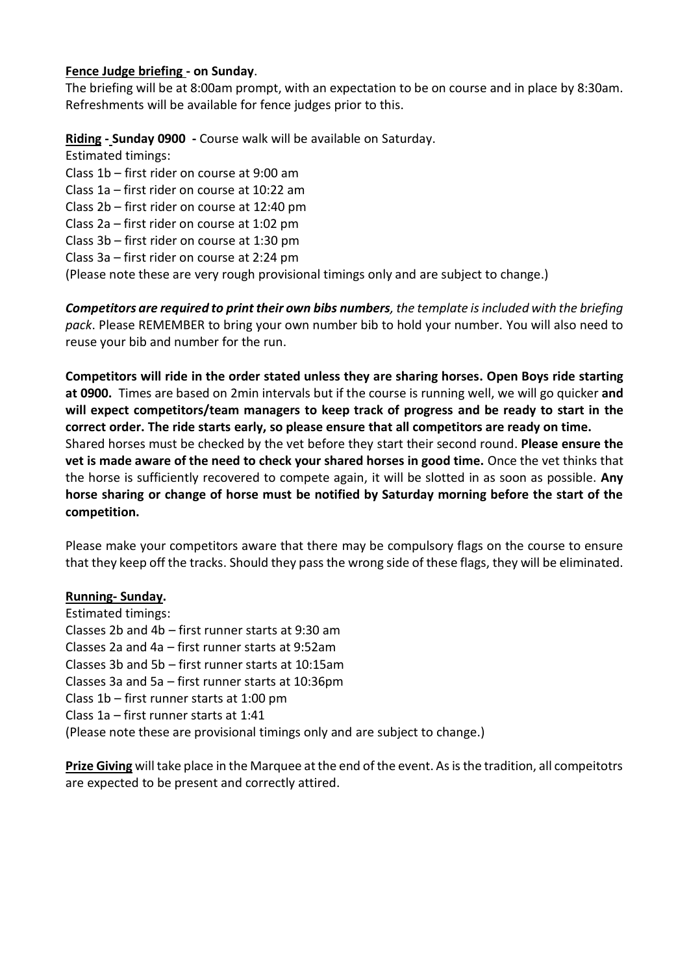#### **Fence Judge briefing - on Sunday**.

The briefing will be at 8:00am prompt, with an expectation to be on course and in place by 8:30am. Refreshments will be available for fence judges prior to this.

## **Riding - Sunday 0900 -** Course walk will be available on Saturday.

Estimated timings: Class 1b – first rider on course at 9:00 am Class 1a – first rider on course at 10:22 am Class 2b – first rider on course at 12:40 pm Class 2a – first rider on course at 1:02 pm Class 3b – first rider on course at 1:30 pm Class 3a – first rider on course at 2:24 pm (Please note these are very rough provisional timings only and are subject to change.)

*Competitors are required to print their own bibs numbers, the template is included with the briefing pack*. Please REMEMBER to bring your own number bib to hold your number. You will also need to reuse your bib and number for the run.

**Competitors will ride in the order stated unless they are sharing horses. Open Boys ride starting at 0900.** Times are based on 2min intervals but if the course is running well, we will go quicker **and will expect competitors/team managers to keep track of progress and be ready to start in the correct order. The ride starts early, so please ensure that all competitors are ready on time.** Shared horses must be checked by the vet before they start their second round. **Please ensure the vet is made aware of the need to check your shared horses in good time.** Once the vet thinks that the horse is sufficiently recovered to compete again, it will be slotted in as soon as possible. **Any horse sharing or change of horse must be notified by Saturday morning before the start of the competition.**

Please make your competitors aware that there may be compulsory flags on the course to ensure that they keep off the tracks. Should they pass the wrong side of these flags, they will be eliminated.

## **Running- Sunday.**

Estimated timings: Classes 2b and 4b – first runner starts at 9:30 am Classes 2a and 4a – first runner starts at 9:52am Classes 3b and 5b – first runner starts at 10:15am Classes 3a and 5a – first runner starts at 10:36pm Class 1b – first runner starts at 1:00 pm Class 1a – first runner starts at 1:41 (Please note these are provisional timings only and are subject to change.)

**Prize Giving** will take place in the Marquee at the end of the event. As is the tradition, all compeitotrs are expected to be present and correctly attired.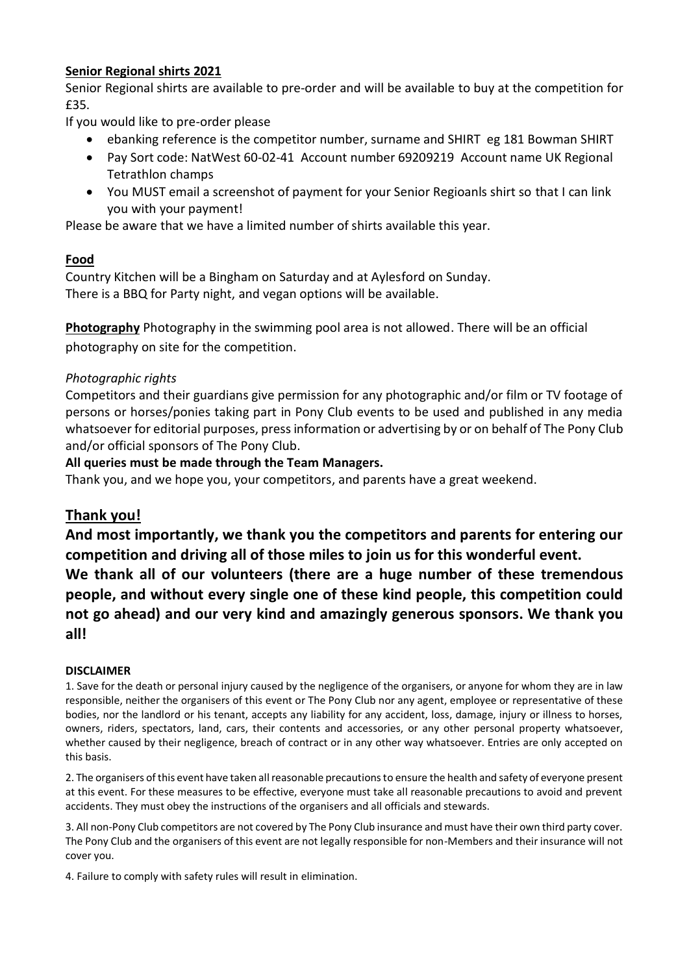### **Senior Regional shirts 2021**

Senior Regional shirts are available to pre-order and will be available to buy at the competition for £35.

If you would like to pre-order please

- ebanking reference is the competitor number, surname and SHIRT eg 181 Bowman SHIRT
- Pay Sort code: NatWest 60-02-41 Account number 69209219 Account name UK Regional Tetrathlon champs
- You MUST email a screenshot of payment for your Senior Regioanls shirt so that I can link you with your payment!

Please be aware that we have a limited number of shirts available this year.

#### **Food**

Country Kitchen will be a Bingham on Saturday and at Aylesford on Sunday. There is a BBQ for Party night, and vegan options will be available.

**Photography** Photography in the swimming pool area is not allowed. There will be an official photography on site for the competition.

#### *Photographic rights*

Competitors and their guardians give permission for any photographic and/or film or TV footage of persons or horses/ponies taking part in Pony Club events to be used and published in any media whatsoever for editorial purposes, press information or advertising by or on behalf of The Pony Club and/or official sponsors of The Pony Club.

#### **All queries must be made through the Team Managers.**

Thank you, and we hope you, your competitors, and parents have a great weekend.

## **Thank you!**

**And most importantly, we thank you the competitors and parents for entering our competition and driving all of those miles to join us for this wonderful event. We thank all of our volunteers (there are a huge number of these tremendous people, and without every single one of these kind people, this competition could not go ahead) and our very kind and amazingly generous sponsors. We thank you all!**

#### **DISCLAIMER**

1. Save for the death or personal injury caused by the negligence of the organisers, or anyone for whom they are in law responsible, neither the organisers of this event or The Pony Club nor any agent, employee or representative of these bodies, nor the landlord or his tenant, accepts any liability for any accident, loss, damage, injury or illness to horses, owners, riders, spectators, land, cars, their contents and accessories, or any other personal property whatsoever, whether caused by their negligence, breach of contract or in any other way whatsoever. Entries are only accepted on this basis.

2. The organisers of this event have taken all reasonable precautions to ensure the health and safety of everyone present at this event. For these measures to be effective, everyone must take all reasonable precautions to avoid and prevent accidents. They must obey the instructions of the organisers and all officials and stewards.

3. All non-Pony Club competitors are not covered by The Pony Club insurance and must have their own third party cover. The Pony Club and the organisers of this event are not legally responsible for non-Members and their insurance will not cover you.

4. Failure to comply with safety rules will result in elimination.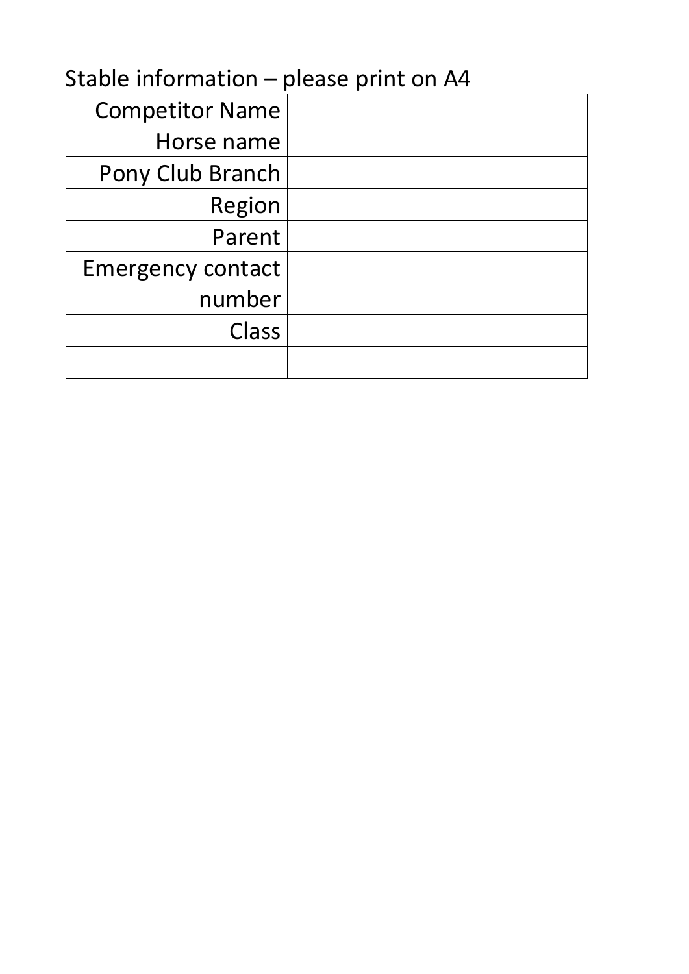# Stable information – please print on A4

| <b>Competitor Name</b>   |  |
|--------------------------|--|
| Horse name               |  |
| Pony Club Branch         |  |
| Region                   |  |
| Parent                   |  |
| <b>Emergency contact</b> |  |
| number                   |  |
| Class                    |  |
|                          |  |